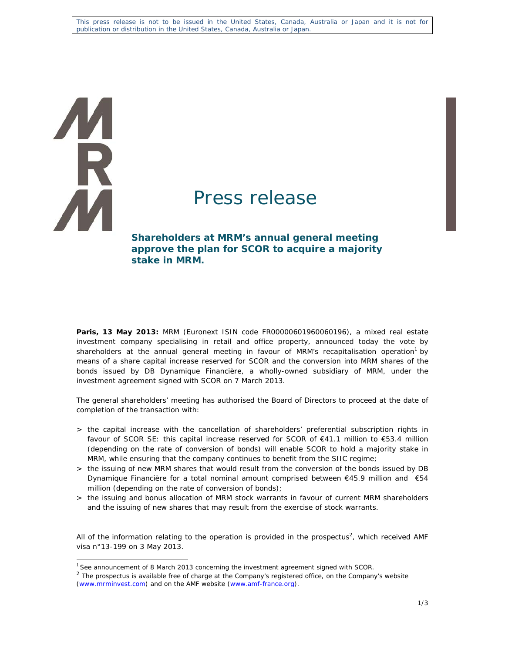ï ı ļ

## Press release

**Shareholders at MRM's annual general meeting approve the plan for SCOR to acquire a majority stake in MRM.** 

**Paris, 13 May 2013:** MRM (Euronext ISIN code FR00000601960060196), a mixed real estate investment company specialising in retail and office property, announced today the vote by shareholders at the annual general meeting in favour of MRM's recapitalisation operation<sup>1</sup> by means of a share capital increase reserved for SCOR and the conversion into MRM shares of the bonds issued by DB Dynamique Financière, a wholly-owned subsidiary of MRM, under the investment agreement signed with SCOR on 7 March 2013.

The general shareholders' meeting has authorised the Board of Directors to proceed at the date of completion of the transaction with:

- > the capital increase with the cancellation of shareholders' preferential subscription rights in favour of SCOR SE: this capital increase reserved for SCOR of €41.1 million to €53.4 million (depending on the rate of conversion of bonds) will enable SCOR to hold a majority stake in MRM, while ensuring that the company continues to benefit from the SIIC regime;
- > the issuing of new MRM shares that would result from the conversion of the bonds issued by DB Dynamique Financière for a total nominal amount comprised between  $€45.9$  million and  $€54$ million (depending on the rate of conversion of bonds);
- > the issuing and bonus allocation of MRM stock warrants in favour of current MRM shareholders and the issuing of new shares that may result from the exercise of stock warrants.

All of the information relating to the operation is provided in the prospectus<sup>2</sup>, which received AMF visa n°13-199 on 3 May 2013.

 $1$  See announcement of 8 March 2013 concerning the investment agreement signed with SCOR.

 $2$  The prospectus is available free of charge at the Company's registered office, on the Company's website (www.mrminvest.com) and on the AMF website (www.amf-france.org).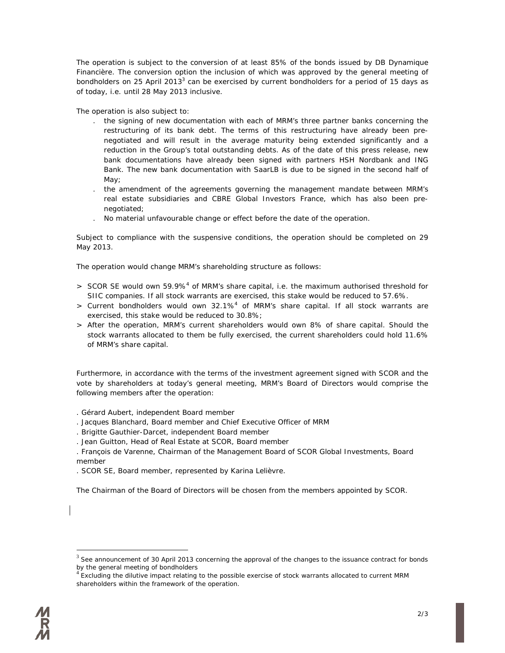The operation is subject to the conversion of at least 85% of the bonds issued by DB Dynamique Financière. The conversion option the inclusion of which was approved by the general meeting of bondholders on 25 April 2013<sup>3</sup> can be exercised by current bondholders for a period of 15 days as of today, i.e. until 28 May 2013 inclusive.

The operation is also subject to:

- . the signing of new documentation with each of MRM's three partner banks concerning the restructuring of its bank debt. The terms of this restructuring have already been prenegotiated and will result in the average maturity being extended significantly and a reduction in the Group's total outstanding debts. As of the date of this press release, new bank documentations have already been signed with partners HSH Nordbank and ING Bank. The new bank documentation with SaarLB is due to be signed in the second half of May;
- . the amendment of the agreements governing the management mandate between MRM's real estate subsidiaries and CBRE Global Investors France, which has also been prenegotiated;
- . No material unfavourable change or effect before the date of the operation.

Subject to compliance with the suspensive conditions, the operation should be completed on 29 May 2013.

The operation would change MRM's shareholding structure as follows:

- > SCOR SE would own 59.9%<sup>4</sup> of MRM's share capital, i.e. the maximum authorised threshold for SIIC companies. If all stock warrants are exercised, this stake would be reduced to 57.6%.
- > Current bondholders would own 32.1%<sup>4</sup> of MRM's share capital. If all stock warrants are exercised, this stake would be reduced to 30.8%;
- > After the operation, MRM's current shareholders would own 8% of share capital. Should the stock warrants allocated to them be fully exercised, the current shareholders could hold 11.6% of MRM's share capital.

Furthermore, in accordance with the terms of the investment agreement signed with SCOR and the vote by shareholders at today's general meeting, MRM's Board of Directors would comprise the following members after the operation:

- . Gérard Aubert, independent Board member
- . Jacques Blanchard, Board member and Chief Executive Officer of MRM
- . Brigitte Gauthier-Darcet, independent Board member
- . Jean Guitton, Head of Real Estate at SCOR, Board member

. François de Varenne, Chairman of the Management Board of SCOR Global Investments, Board member

. SCOR SE, Board member, represented by Karina Lelièvre.

The Chairman of the Board of Directors will be chosen from the members appointed by SCOR.

 $\overline{a}$ 

<sup>&</sup>lt;sup>3</sup> See announcement of 30 April 2013 concerning the approval of the changes to the issuance contract for bonds by the general meeting of bondholders

 $4$  Excluding the dilutive impact relating to the possible exercise of stock warrants allocated to current MRM shareholders within the framework of the operation.